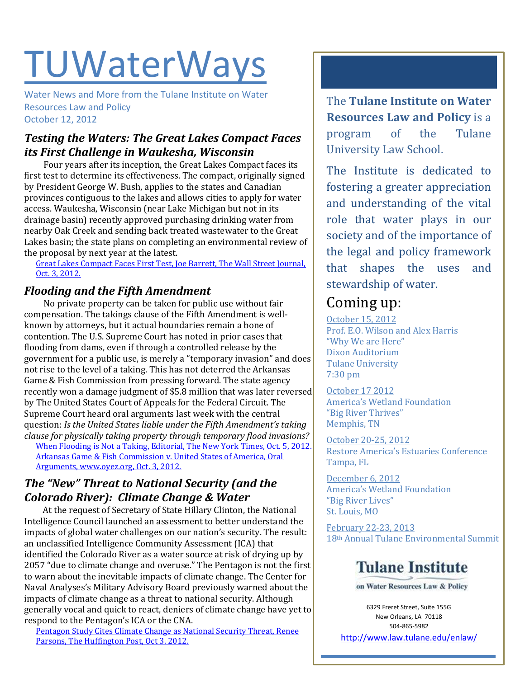# TUWaterWays

Water News and More from the Tulane Institute on Water Resources Law and Policy October 12, 2012

## *Testing the Waters: The Great Lakes Compact Faces its First Challenge in Waukesha, Wisconsin*

Four years after its inception, the Great Lakes Compact faces its first test to determine its effectiveness. The compact, originally signed by President George W. Bush, applies to the states and Canadian provinces contiguous to the lakes and allows cities to apply for water access. Waukesha, Wisconsin (near Lake Michigan but not in its drainage basin) recently approved purchasing drinking water from nearby Oak Creek and sending back treated wastewater to the Great Lakes basin; the state plans on completing an environmental review of the proposal by next year at the latest.

[Great Lakes Compact Faces First Test, Joe Barrett, The Wall Street Journal,](http://online.wsj.com/article/SB10000872396390443493304578034851099308848.html)  [Oct. 3, 2012.](http://online.wsj.com/article/SB10000872396390443493304578034851099308848.html)

#### *Flooding and the Fifth Amendment*

No private property can be taken for public use without fair compensation. The takings clause of the Fifth Amendment is wellknown by attorneys, but it actual boundaries remain a bone of contention. The U.S. Supreme Court has noted in prior cases that flooding from dams, even if through a controlled release by the government for a public use, is merely a "temporary invasion" and does not rise to the level of a taking. This has not deterred the Arkansas Game & Fish Commission from pressing forward. The state agency recently won a damage judgment of \$5.8 million that was later reversed by The United States Court of Appeals for the Federal Circuit. The Supreme Court heard oral arguments last week with the central question: *Is the United States liable under the Fifth Amendment's taking clause for physically taking property through temporary flood invasions?*

[When Flooding is Not a Taking, Editorial, The New York](http://www.nytimes.com/2012/10/06/opinion/when-flooding-is-not-a-taking.html) Times, Oct. 5, 2012. [Arkansas Game & Fish Commission v. United States of America, Oral](http://www.oyez.org/cases/2010-2019/2012/2012_11_597)  [Arguments, www.oyez.org, Oct. 3, 2012.](http://www.oyez.org/cases/2010-2019/2012/2012_11_597)

## *The "New" Threat to National Security (and the Colorado River): Climate Change & Water*

At the request of Secretary of State Hillary Clinton, the National Intelligence Council launched an assessment to better understand the impacts of global water challenges on our nation's security. The result: an unclassified Intelligence Community Assessment (ICA) that identified the Colorado River as a water source at risk of drying up by 2057 "due to climate change and overuse." The Pentagon is not the first to warn about the inevitable impacts of climate change. The Center for Naval Analyses's Military Advisory Board previously warned about the impacts of climate change as a threat to national security. Although generally vocal and quick to react, deniers of climate change have yet to respond to the Pentagon's ICA or the CNA.

[Pentagon Study Cites Climate Change as National Security Threat, Renee](http://www.huffingtonpost.com/renee-parsons/climate-change-national-security_b_1929398.html)  [Parsons, The Huffington Post, Oct 3. 2012.](http://www.huffingtonpost.com/renee-parsons/climate-change-national-security_b_1929398.html)

The **Tulane Institute on Water Resources Law and Policy** is a program of the Tulane University Law School.

The Institute is dedicated to fostering a greater appreciation and understanding of the vital role that water plays in our society and of the importance of the legal and policy framework that shapes the uses and stewardship of water.

# Coming up:

October 15, 2012 Prof. E.O. Wilson and Alex Harris "Why We are Here" Dixon Auditorium Tulane University 7:30 pm

October 17 2012 America's Wetland Foundation "Big River Thrives" Memphis, TN

October 20-25, 2012 Restore America's Estuaries Conference Tampa, FL

December 6, 2012 America's Wetland Foundation "Big River Lives" St. Louis, MO

February 22-23, 2013 18th Annual Tulane Environmental Summit

# **Tulane Institute**

on Water Resources Law & Policy

6329 Freret Street, Suite 155G New Orleans, LA 70118 504-865-5982

<http://www.law.tulane.edu/enlaw/>